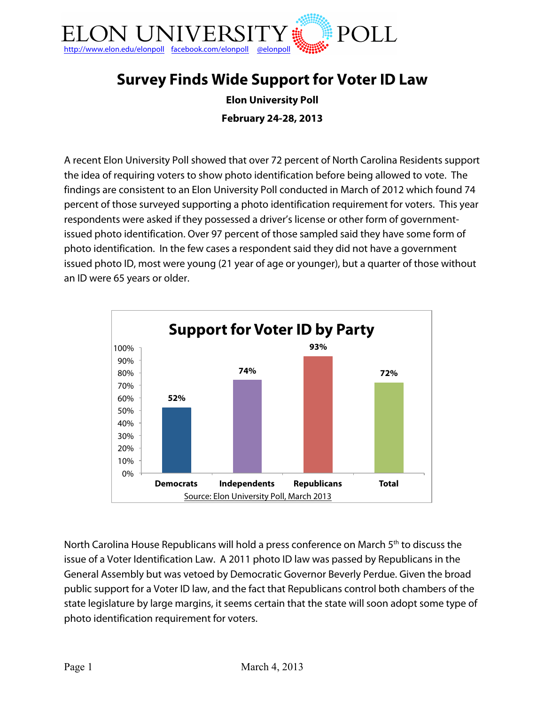

# **Survey Finds Wide Support for Voter ID Law**

**Elon University Poll February 24-28, 2013**

A recent Elon University Poll showed that over 72 percent of North Carolina Residents support the idea of requiring voters to show photo identification before being allowed to vote. The findings are consistent to an Elon University Poll conducted in March of 2012 which found 74 percent of those surveyed supporting a photo identification requirement for voters. This year respondents were asked if they possessed a driver's license or other form of governmentissued photo identification. Over 97 percent of those sampled said they have some form of photo identification. In the few cases a respondent said they did not have a government issued photo ID, most were young (21 year of age or younger), but a quarter of those without an ID were 65 years or older.



North Carolina House Republicans will hold a press conference on March 5<sup>th</sup> to discuss the issue of a Voter Identification Law. A 2011 photo ID law was passed by Republicans in the General Assembly but was vetoed by Democratic Governor Beverly Perdue. Given the broad public support for a Voter ID law, and the fact that Republicans control both chambers of the state legislature by large margins, it seems certain that the state will soon adopt some type of photo identification requirement for voters.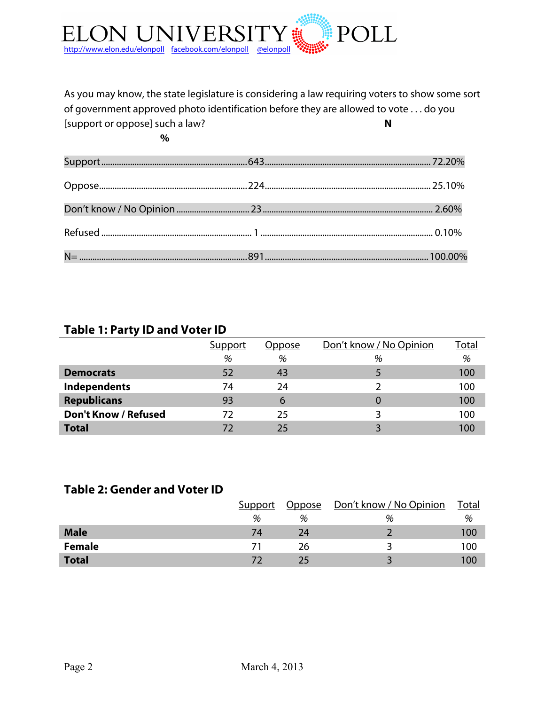

As you may know, the state legislature is considering a law requiring voters to show some sort of government approved photo identification before they are allowed to vote . . . do you [support or oppose] such a law? **N**

**%**

### **Table 1: Party ID and Voter ID**

|                             | Support | Oppose | Don't know / No Opinion | <b>Total</b> |
|-----------------------------|---------|--------|-------------------------|--------------|
|                             | %       | %      | %                       | %            |
| <b>Democrats</b>            | 52      | 43     |                         | 100          |
| <b>Independents</b>         | 74      | 24     |                         | 100          |
| <b>Republicans</b>          | 93      | 6      |                         | 100          |
| <b>Don't Know / Refused</b> | 72      | 25     |                         | 100          |
| <b>Total</b>                | 72      | 25     |                         | 100          |

### **Table 2: Gender and Voter ID**

|               | Support | Oppose | <u> Don't know / No Opinion</u> | Total |
|---------------|---------|--------|---------------------------------|-------|
|               | %       | %      | %                               | %     |
| <b>Male</b>   | 74      | 24     |                                 | 100   |
| <b>Female</b> |         | 26     |                                 | 100   |
| <b>Total</b>  |         |        |                                 | 100   |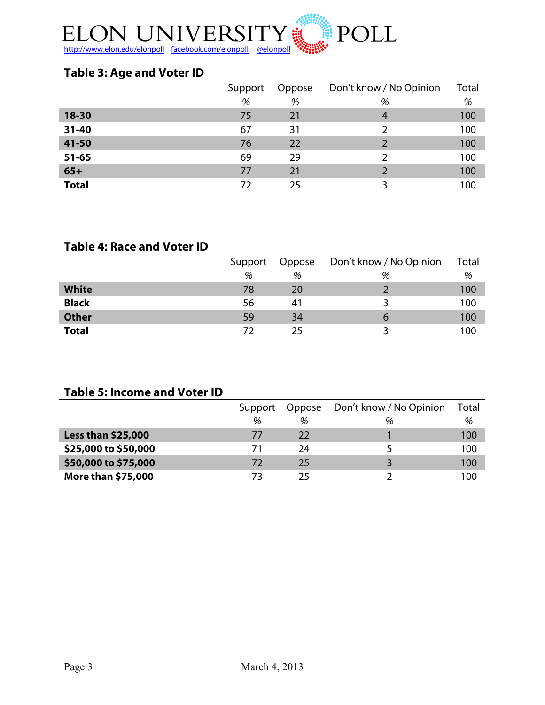

## **Table 3: Age and Voter ID**

|              | Support | Oppose | Don't know / No Opinion | Total |
|--------------|---------|--------|-------------------------|-------|
|              | %       | %      | %                       | %     |
| 18-30        | 75      | 21     | 4                       | 100   |
| $31 - 40$    | 67      | 31     |                         | 100   |
| 41-50        | 76      | 22     | $\mathcal{D}$           | 100   |
| $51 - 65$    | 69      | 29     | $\mathcal{L}$           | 100   |
| $65+$        | 77      | 21     |                         | 100   |
| <b>Total</b> | 72      | 25     | 3                       | 100   |

### **Table 4: Race and Voter ID**

|              | Support | Oppose | Don't know / No Opinion | Total |
|--------------|---------|--------|-------------------------|-------|
|              | %       | %      | %                       | %     |
| <b>White</b> | 78      | 20     |                         | 100   |
| <b>Black</b> | 56      | 41     |                         | 100   |
| <b>Other</b> | 59      | 34     | O                       | 100   |
| <b>Total</b> |         | つら     |                         | 100   |

### **Table 5: Income and Voter ID**

|                           | Support | Oppose | Don't know / No Opinion | Total |
|---------------------------|---------|--------|-------------------------|-------|
|                           | %       | %      | %                       | %     |
| <b>Less than \$25,000</b> | 77      | 22     |                         | 100   |
| \$25,000 to \$50,000      | 71      | 24     |                         | 100   |
| \$50,000 to \$75,000      | 72      | 25     |                         | 100   |
| More than \$75,000        | 73      | フト     |                         | 100   |